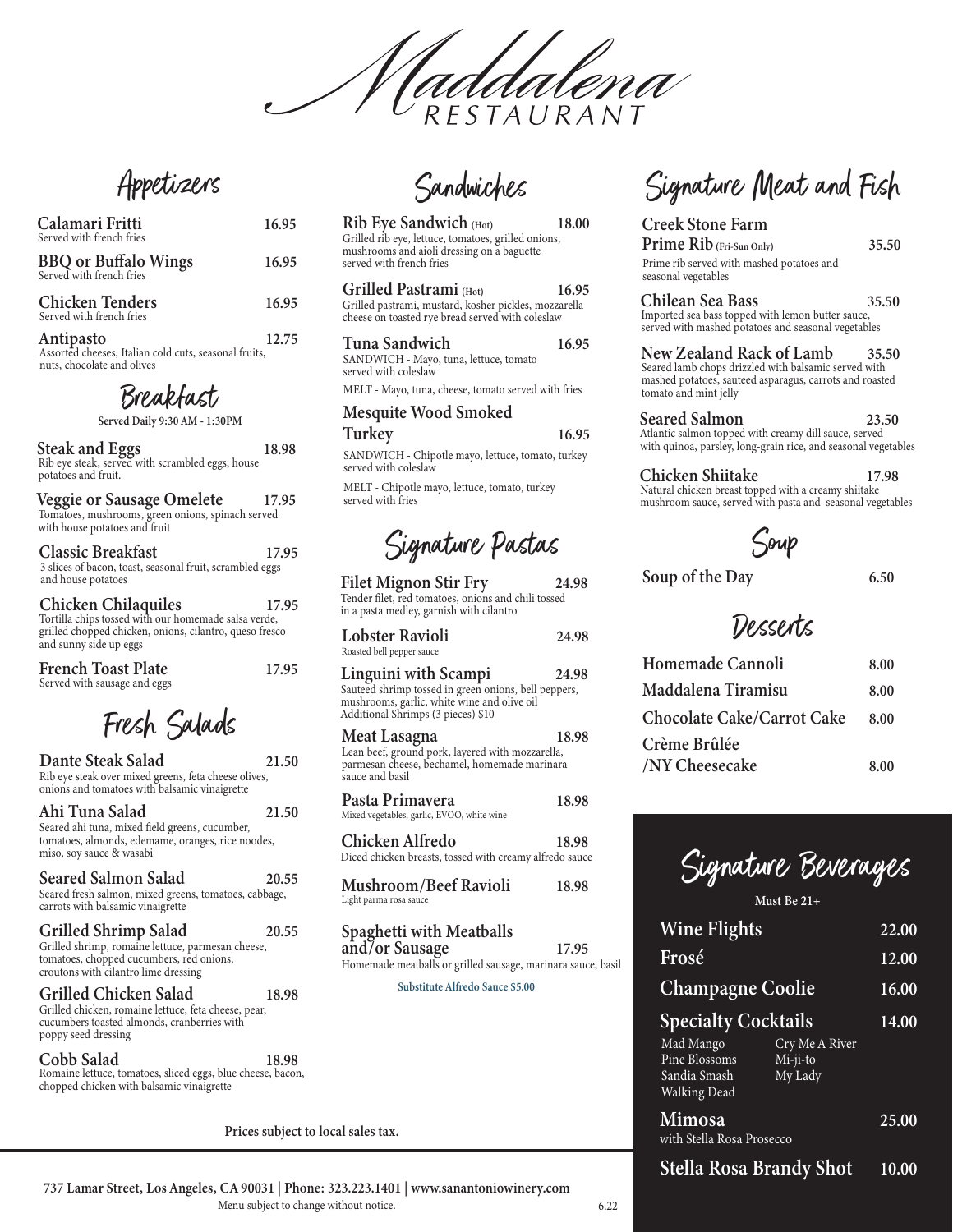addalena

Appetizers

| Calamari Fritti<br>Served with french fries                        | 16.95 |
|--------------------------------------------------------------------|-------|
| <b>BBQ</b> or Buffalo Wings<br>Served with french fries            | 16.95 |
| <b>Chicken Tenders</b><br>Served with french fries                 | 16.95 |
| Antipasto<br>Assorted cheeses, Italian cold cuts, seasonal fruits, | 12.75 |

nuts, chocolate and olives

Breakfast

Served Daily 9:30 AM - 1:30PM

| <b>Steak and Eggs</b><br>Rib eye steak, served with scrambled eggs, house<br>potatoes and fruit.                | 18.98 |
|-----------------------------------------------------------------------------------------------------------------|-------|
| Veggie or Sausage Omelete<br>Tomatoes, mushrooms, green onions, spinach served<br>with house potatoes and fruit | 17.95 |
| <b>Classic Breakfast</b><br>3 slices of bacon, toast, seasonal fruit, scrambled eggs<br>and house potatoes      | 17.95 |
| <b>Chicken Chilaquiles</b> 17<br>Tortilla chips tossed with our homemade salsa verde.                           | 17.95 |

grilled chopped chicken, onions, cilantro, queso fresco and sunny side up eggs

| <b>French Toast Plate</b>    | 17.95 |
|------------------------------|-------|
| Served with sausage and eggs |       |

|  | Fresh Salads |
|--|--------------|
|--|--------------|

Dante Steak Salad 21.50 Rib eye steak over mixed greens, feta cheese olives, onions and tomatoes with balsamic vinaigrette

| Ahi Tuna Salad                                    | 21.50 |
|---------------------------------------------------|-------|
| Seared ahi tuna, mixed field greens, cucumber,    |       |
| tomatoes, almonds, edemame, oranges, rice noodes, |       |
| miso, soy sauce & wasabi                          |       |

| <b>Seared Salmon Salad</b><br>Seared fresh salmon, mixed greens, tomatoes, cabbage,<br>carrots with balsamic vinaigrette                                             | 20.55 |
|----------------------------------------------------------------------------------------------------------------------------------------------------------------------|-------|
| <b>Grilled Shrimp Salad</b><br>Grilled shrimp, romaine lettuce, parmesan cheese,<br>tomatoes, chopped cucumbers, red onions,<br>croutons with cilantro lime dressing | 20.55 |
| Grilled Chicken Salad<br>Grilled chicken, romaine lettuce, feta cheese, pear,<br>cucumbers toasted almonds, cranberries with<br>poppy seed dressing                  | 18.98 |

Cobb Salad 18.98 Romaine lettuce, tomatoes, sliced eggs, blue cheese, bacon, chopped chicken with balsamic vinaigrette

Sandwiches

| Rib Eye Sandwich (Hot)                                                                                                        | 18.00 |
|-------------------------------------------------------------------------------------------------------------------------------|-------|
| Grilled rib eye, lettuce, tomatoes, grilled onions,<br>mushrooms and aioli dressing on a baguette<br>served with french fries |       |
| Grilled Pastrami (Hot)                                                                                                        | 16.95 |

| Grifficu i astralili (HOU)                            | 10.2 |
|-------------------------------------------------------|------|
| Grilled pastrami, mustard, kosher pickles, mozzarella |      |
| cheese on toasted rve bread served with coleslaw      |      |

SANDWICH - Mayo, tuna, lettuce, tomato served with coleslaw

MELT - Mayo, tuna, cheese, tomato served with fries

#### Mesquite Wood Smoked Turkey 16.95

SANDWICH - Chipotle mayo, lettuce, tomato, turkey served with coleslaw

MELT - Chipotle mayo, lettuce, tomato, turkey served with fries

Signature Pastas

**Filet Mignon Stir Fry** 24.98 Tender filet, red tomatoes, onions and chili tossed in a pasta medley, garnish with cilantro

| Lobster Ravioli           | 24.98 |
|---------------------------|-------|
| loasted bell pepper sauce |       |

| Linguini with Scampi                                                                                                                      | 24.98 |
|-------------------------------------------------------------------------------------------------------------------------------------------|-------|
| Sauteed shrimp tossed in green onions, bell peppers,<br>mushrooms, garlic, white wine and olive oil<br>Additional Shrimps (3 pieces) \$10 |       |

Meat Lasagna 18.98 Lean beef, ground pork, layered with mozzarella,<br>parmesan cheese, bechamel, homemade marinara sauce and basil

Pasta Primavera Mixed vegetables, garlic, EVOO, white wine

Chicken Alfredo 18.98 Diced chicken breasts, tossed with creamy alfredo sauce

18.98

**Mushroom/Beef Ravioli** 18.98 Light parma rosa sauce

Spaghetti with Meatballs and/or Sausage 17.95 Homemade meatballs or grilled sausage, marinara sauce, basil

Substitute Alfredo Sauce \$5.00

**Creek Stone Farm** Prime Rib (Fri-Sun Only) Prime rib served with mashed potatoes and seasonal vegetables

Chilean Sea Bass 35.50 Imported sea bass topped with lemon butter sauce, served with mashed potatoes and seasonal vegetables

Signature Meat and Fish

### New Zealand Rack of Lamb 35.50 Seared lamb chops drizzled with balsamic served with

mashed potatoes, sauteed asparagus, carrots and roasted tomato and mint jelly

**Seared Salmon** 23.50 Atlantic salmon topped with creamy dill sauce, served with quinoa, parsley, long-grain rice, and seasonal vegetables

Chicken Shiitake 17.98 Natural chicken breast topped with a creamy shiitake<br>mushroom sauce, served with pasta and seasonal vegetables

Joup

Soup of the Day

6.50

35.50

## Dessents

| Homemade Cannoli                  | 8.00 |
|-----------------------------------|------|
| Maddalena Tiramisu                | 8.00 |
| <b>Chocolate Cake/Carrot Cake</b> | 8.00 |
| Crème Brûlée                      |      |
| /NY Cheesecake                    | 8.00 |

Signature Beverages

Must Be  $21+$ 

| <b>Wine Flights</b>                                                                      |                                       | 22.00 |
|------------------------------------------------------------------------------------------|---------------------------------------|-------|
| Frosé                                                                                    |                                       | 12.00 |
| <b>Champagne Coolie</b>                                                                  |                                       | 16.00 |
| <b>Specialty Cocktails</b><br>Mad Mango<br>Pine Blossoms<br>Sandia Smash<br>Walking Dead | Cry Me A River<br>Mi-ji-to<br>My Lady | 14.00 |
| Mimosa<br>with Stella Rosa Prosecco                                                      |                                       | 25.00 |
| <b>Stella Rosa Brandy Shot</b>                                                           |                                       | 10.00 |

Prices subject to local sales tax.